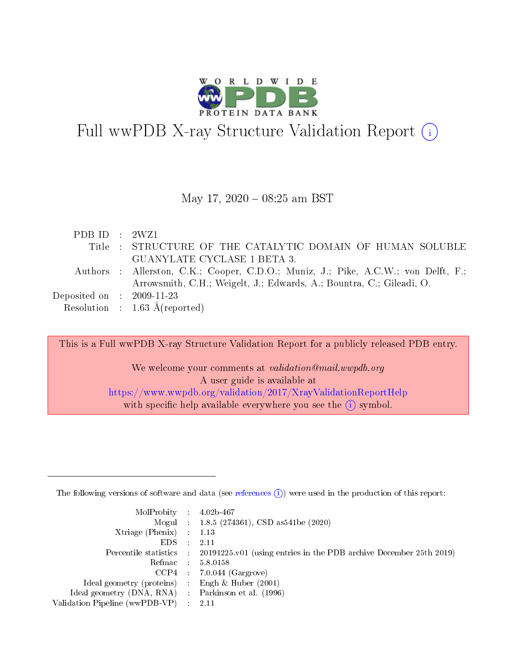

# Full wwPDB X-ray Structure Validation Report  $(i)$

#### May 17,  $2020 - 08:25$  am BST

| PDBID : 2WZ1                         |                                                                                    |
|--------------------------------------|------------------------------------------------------------------------------------|
|                                      | Title : STRUCTURE OF THE CATALYTIC DOMAIN OF HUMAN SOLUBLE                         |
|                                      | GUANYLATE CYCLASE 1 BETA 3.                                                        |
|                                      | Authors : Allerston, C.K.; Cooper, C.D.O.; Muniz, J.; Pike, A.C.W.; von Delft, F.; |
|                                      | Arrowsmith, C.H.; Weigelt, J.; Edwards, A.; Bountra, C.; Gileadi, O.               |
| Deposited on $\therefore$ 2009-11-23 |                                                                                    |
|                                      | Resolution : $1.63 \text{ Å}$ (reported)                                           |

This is a Full wwPDB X-ray Structure Validation Report for a publicly released PDB entry.

We welcome your comments at validation@mail.wwpdb.org A user guide is available at <https://www.wwpdb.org/validation/2017/XrayValidationReportHelp> with specific help available everywhere you see the  $(i)$  symbol.

The following versions of software and data (see [references](https://www.wwpdb.org/validation/2017/XrayValidationReportHelp#references)  $(1)$ ) were used in the production of this report:

| $MolProbability$ : 4.02b-467                        |                                                                                            |
|-----------------------------------------------------|--------------------------------------------------------------------------------------------|
|                                                     | Mogul : $1.8.5$ (274361), CSD as 541be (2020)                                              |
| Xtriage (Phenix) $: 1.13$                           |                                                                                            |
| EDS                                                 | -2.11                                                                                      |
|                                                     | Percentile statistics : 20191225.v01 (using entries in the PDB archive December 25th 2019) |
| Refmac 58.0158                                      |                                                                                            |
|                                                     | $CCP4$ 7.0.044 (Gargrove)                                                                  |
| Ideal geometry (proteins) : Engh $\&$ Huber (2001)  |                                                                                            |
| Ideal geometry (DNA, RNA) : Parkinson et al. (1996) |                                                                                            |
| Validation Pipeline (wwPDB-VP) : 2.11               |                                                                                            |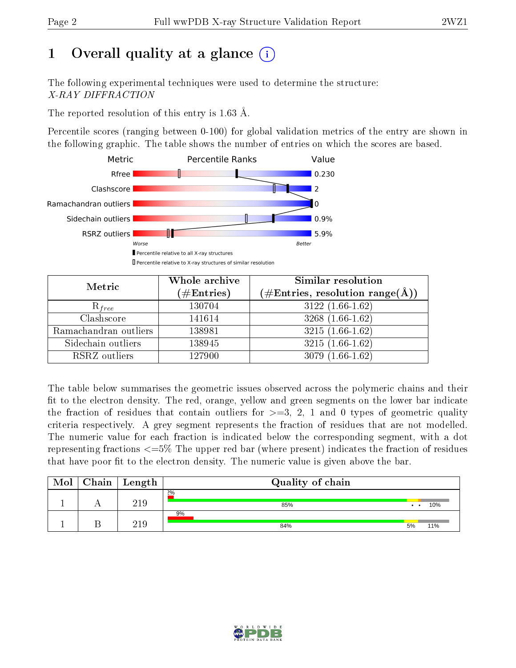# 1 [O](https://www.wwpdb.org/validation/2017/XrayValidationReportHelp#overall_quality)verall quality at a glance  $(i)$

The following experimental techniques were used to determine the structure: X-RAY DIFFRACTION

The reported resolution of this entry is 1.63 Å.

Percentile scores (ranging between 0-100) for global validation metrics of the entry are shown in the following graphic. The table shows the number of entries on which the scores are based.



| Metric                | Whole archive<br>$(\#\text{Entries})$ | Similar resolution<br>$(\#\text{Entries}, \text{resolution range}(\text{\AA}))$ |  |  |
|-----------------------|---------------------------------------|---------------------------------------------------------------------------------|--|--|
| $R_{free}$            | 130704                                | $3122(1.66-1.62)$                                                               |  |  |
| Clashscore            | 141614                                | $3268(1.66-1.62)$                                                               |  |  |
| Ramachandran outliers | 138981                                | $3215(1.66-1.62)$                                                               |  |  |
| Sidechain outliers    | 138945                                | $3215(1.66-1.62)$                                                               |  |  |
| RSRZ outliers         | 127900                                | $3079(1.66-1.62)$                                                               |  |  |

The table below summarises the geometric issues observed across the polymeric chains and their fit to the electron density. The red, orange, yellow and green segments on the lower bar indicate the fraction of residues that contain outliers for  $>=3, 2, 1$  and 0 types of geometric quality criteria respectively. A grey segment represents the fraction of residues that are not modelled. The numeric value for each fraction is indicated below the corresponding segment, with a dot representing fractions  $\epsilon=5\%$  The upper red bar (where present) indicates the fraction of residues that have poor fit to the electron density. The numeric value is given above the bar.

| Mol | ${\rm Chain \mid Length}$ | Quality of chain |                                       |     |
|-----|---------------------------|------------------|---------------------------------------|-----|
|     | 219                       | 2%<br>85%        | $\bullet$<br>$\overline{\phantom{a}}$ | 10% |
|     | 21 Q                      | 9%<br>84%        | 5%                                    | 11% |

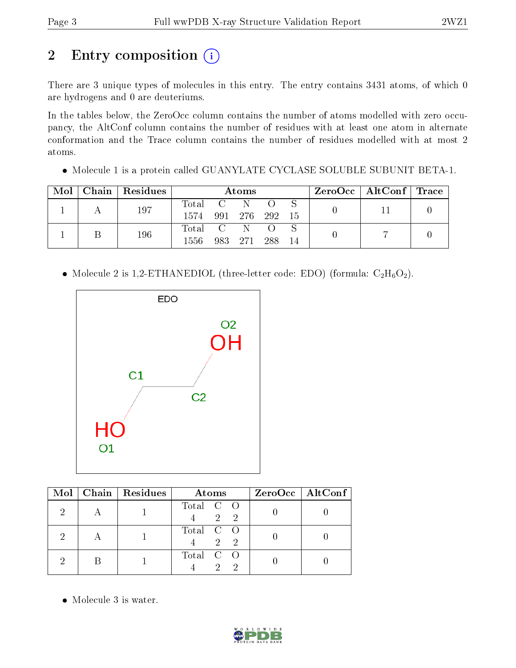# 2 Entry composition (i)

There are 3 unique types of molecules in this entry. The entry contains 3431 atoms, of which 0 are hydrogens and 0 are deuteriums.

In the tables below, the ZeroOcc column contains the number of atoms modelled with zero occupancy, the AltConf column contains the number of residues with at least one atom in alternate conformation and the Trace column contains the number of residues modelled with at most 2 atoms.

Molecule 1 is a protein called GUANYLATE CYCLASE SOLUBLE SUBUNIT BETA-1.

| Mol |  | Chain   Residues | Atoms     |  |  |                |  |  | $\rm ZeroOcc \mid AltConf \mid Trace$ |  |
|-----|--|------------------|-----------|--|--|----------------|--|--|---------------------------------------|--|
|     |  | 197              | Total C   |  |  |                |  |  |                                       |  |
|     |  |                  | 1574      |  |  | 991 276 292 15 |  |  |                                       |  |
|     |  | 196              | Total C N |  |  |                |  |  |                                       |  |
|     |  |                  | 1556.     |  |  | 983 271 288 14 |  |  |                                       |  |

 $\bullet$  Molecule 2 is 1,2-ETHANEDIOL (three-letter code: EDO) (formula:  $\rm{C_2H_6O_2}.$ 



|  | Mol   Chain   Residues | Atoms                    | ZeroOcc   AltConf |
|--|------------------------|--------------------------|-------------------|
|  |                        | Total C O<br>2 2         |                   |
|  |                        | Total C O<br>$2 \quad 2$ |                   |
|  |                        | Total C O                |                   |

• Molecule 3 is water.

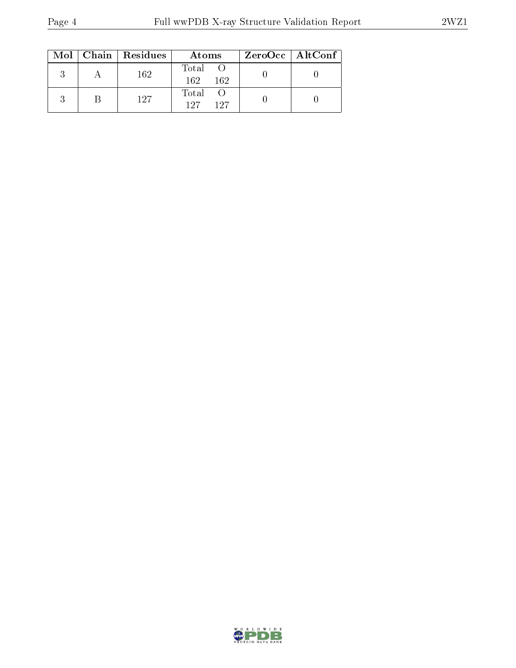|  | $Mol$   Chain   Residues | Atoms                 | ZeroOcc   AltConf |
|--|--------------------------|-----------------------|-------------------|
|  | 162                      | Total<br>-162<br>-162 |                   |
|  | 127                      | Total<br>197<br>127   |                   |

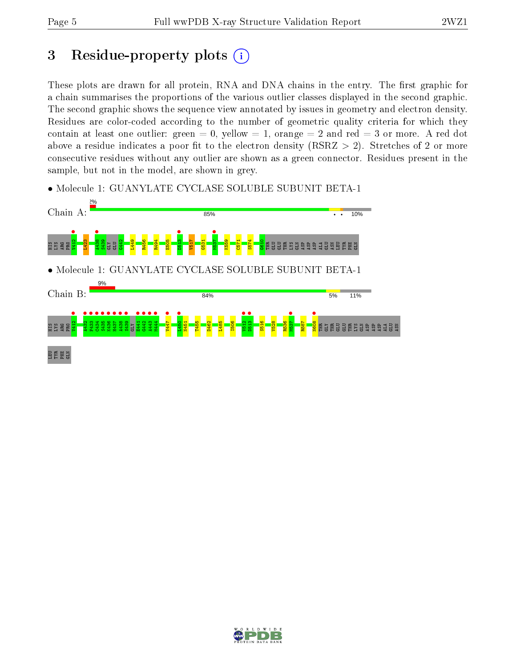## 3 Residue-property plots  $(i)$

These plots are drawn for all protein, RNA and DNA chains in the entry. The first graphic for a chain summarises the proportions of the various outlier classes displayed in the second graphic. The second graphic shows the sequence view annotated by issues in geometry and electron density. Residues are color-coded according to the number of geometric quality criteria for which they contain at least one outlier: green  $= 0$ , yellow  $= 1$ , orange  $= 2$  and red  $= 3$  or more. A red dot above a residue indicates a poor fit to the electron density (RSRZ  $> 2$ ). Stretches of 2 or more consecutive residues without any outlier are shown as a green connector. Residues present in the sample, but not in the model, are shown in grey.





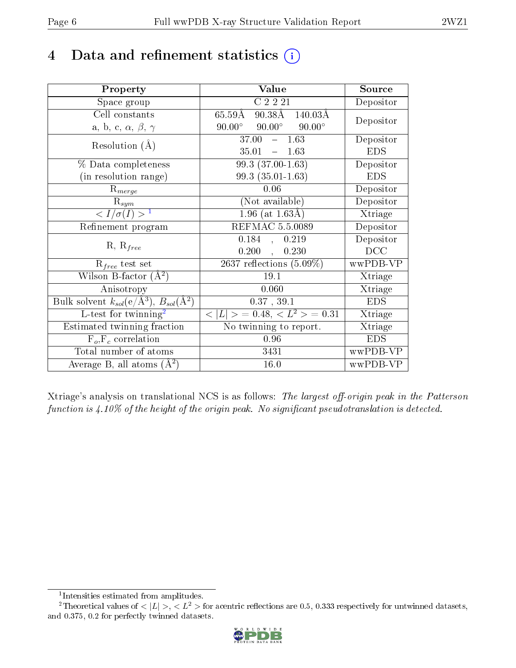# 4 Data and refinement statistics  $(i)$

| Property                                                                 | Value                                                 | Source     |
|--------------------------------------------------------------------------|-------------------------------------------------------|------------|
| Space group                                                              | C2221                                                 | Depositor  |
| Cell constants                                                           | $90.38\text{\AA}$ $140.03\text{\AA}$<br>$65.59\rm\AA$ | Depositor  |
| a, b, c, $\alpha$ , $\beta$ , $\gamma$                                   | $90.00^{\circ}$ $90.00^{\circ}$<br>$90.00^\circ$      |            |
| Resolution $(A)$                                                         | $37.00^{-7}$<br>$-1.63$                               | Depositor  |
|                                                                          | 35.01<br>$-1.63$                                      | <b>EDS</b> |
| $\%$ Data completeness                                                   | 99.3 (37.00-1.63)                                     | Depositor  |
| (in resolution range)                                                    | $99.3(35.01-1.63)$                                    | <b>EDS</b> |
| $R_{merge}$                                                              | 0.06                                                  | Depositor  |
| $\mathrm{R}_{sym}$                                                       | (Not available)                                       | Depositor  |
| $\langle I/\sigma(I) \rangle^{-1}$                                       | $1.96$ (at $1.63\text{\AA}$ )                         | Xtriage    |
| Refinement program                                                       | REFMAC 5.5.0089                                       | Depositor  |
| $R, R_{free}$                                                            | 0.184<br>0.219<br>$\mathcal{L}_{\mathcal{F}}$         | Depositor  |
|                                                                          | 0.200<br>0.230<br>$\mathbf{A}$                        | DCC        |
| $\mathcal{R}_{free}$ test set                                            | 2637 reflections $(5.09\%)$                           | wwPDB-VP   |
| Wilson B-factor $(A^2)$                                                  | 19.1                                                  | Xtriage    |
| Anisotropy                                                               | 0.060                                                 | Xtriage    |
| Bulk solvent $k_{sol}(\mathrm{e}/\mathrm{A}^3),$ $B_{sol}(\mathrm{A}^2)$ | 0.37, 39.1                                            | <b>EDS</b> |
| L-test for twinning <sup>2</sup>                                         | $< L >$ = 0.48, $< L2 >$ = 0.31                       | Xtriage    |
| Estimated twinning fraction                                              | $\overline{\text{No}}$ twinning to report.            | Xtriage    |
| $F_o, F_c$ correlation                                                   | 0.96                                                  | <b>EDS</b> |
| Total number of atoms                                                    | 3431                                                  | wwPDB-VP   |
| Average B, all atoms $(A^2)$                                             | 16.0                                                  | wwPDB-VP   |

Xtriage's analysis on translational NCS is as follows: The largest off-origin peak in the Patterson function is  $4.10\%$  of the height of the origin peak. No significant pseudotranslation is detected.

<sup>&</sup>lt;sup>2</sup>Theoretical values of  $\langle |L| \rangle$ ,  $\langle L^2 \rangle$  for acentric reflections are 0.5, 0.333 respectively for untwinned datasets, and 0.375, 0.2 for perfectly twinned datasets.



<span id="page-5-1"></span><span id="page-5-0"></span><sup>1</sup> Intensities estimated from amplitudes.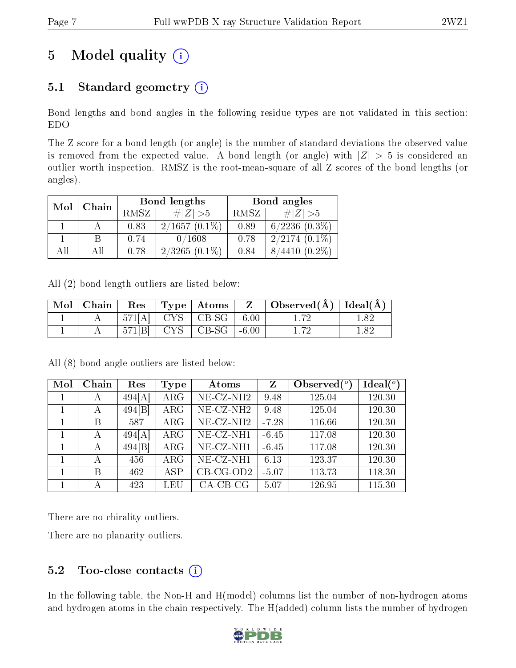# 5 Model quality  $(i)$

## 5.1 Standard geometry  $(i)$

Bond lengths and bond angles in the following residue types are not validated in this section: EDO

The Z score for a bond length (or angle) is the number of standard deviations the observed value is removed from the expected value. A bond length (or angle) with  $|Z| > 5$  is considered an outlier worth inspection. RMSZ is the root-mean-square of all Z scores of the bond lengths (or angles).

| Mol |       |             | Bond lengths    | Bond angles |                     |  |
|-----|-------|-------------|-----------------|-------------|---------------------|--|
|     | Chain | <b>RMSZ</b> | # $ Z  > 5$     | RMSZ        | # $ Z  > 5$         |  |
|     |       | 0.83        | $2/1657(0.1\%)$ | 0.89        | $6/2236$ $(0.3\%)$  |  |
|     |       | 0.74        | 0/1608          | 0.78        | $2/2174(0.1\%)$     |  |
| АĦ  |       | 0.78        | $2/3265(0.1\%)$ | 0.84        | 8/4410<br>$(0.2\%)$ |  |

All (2) bond length outliers are listed below:

| Mol   Chain | $\operatorname{Res}$ | $\mid$ Type $\mid$ Atoms $\mid$          | $\mathbf{Z}$ | $\vert$ Observed( $\AA$ ) $\vert$ Ideal( $\AA$ ) $\vert$ |     |
|-------------|----------------------|------------------------------------------|--------------|----------------------------------------------------------|-----|
|             |                      | $571[A]$   CYS   CB-SG   -6.00           |              |                                                          |     |
|             |                      | $571[B]$ CYS $\vert$ CB-SG $\vert$ -6.00 |              |                                                          | 182 |

All (8) bond angle outliers are listed below:

| Mol | Chain        | Res    | <b>Type</b> | Atoms                    | Z       | Observed $(°)$ | Ideal $(°)$ |
|-----|--------------|--------|-------------|--------------------------|---------|----------------|-------------|
|     | А            | 494[A] | ARG         | $NE$ -CZ-NH <sub>2</sub> | 9.48    | 125.04         | 120.30      |
|     | А            | 494[B] | $\rm{ARG}$  | NE-CZ-NH <sub>2</sub>    | 9.48    | 125.04         | 120.30      |
|     | B            | 587    | $\rm{ARG}$  | $NE- CZ-NH2$             | $-7.28$ | 116.66         | 120.30      |
|     | А            | 494[A] | ARG         | NE-CZ-NH1                | $-6.45$ | 117.08         | 120.30      |
|     | А            | 494[B] | ARG         | NE-CZ-NH1                | $-6.45$ | 117.08         | 120.30      |
|     | $\mathbf{A}$ | 456    | ARG         | $NE- CZ-NH1$             | 6.13    | 123.37         | 120.30      |
|     | B            | 462    | ASP         | $CB-CG-OD2$              | $-5.07$ | 113.73         | 118.30      |
|     | А            | 423    | LEU         | $CA$ -CB-CG              | 5.07    | 126.95         | 115.30      |

There are no chirality outliers.

There are no planarity outliers.

### $5.2$  Too-close contacts  $(i)$

In the following table, the Non-H and H(model) columns list the number of non-hydrogen atoms and hydrogen atoms in the chain respectively. The H(added) column lists the number of hydrogen

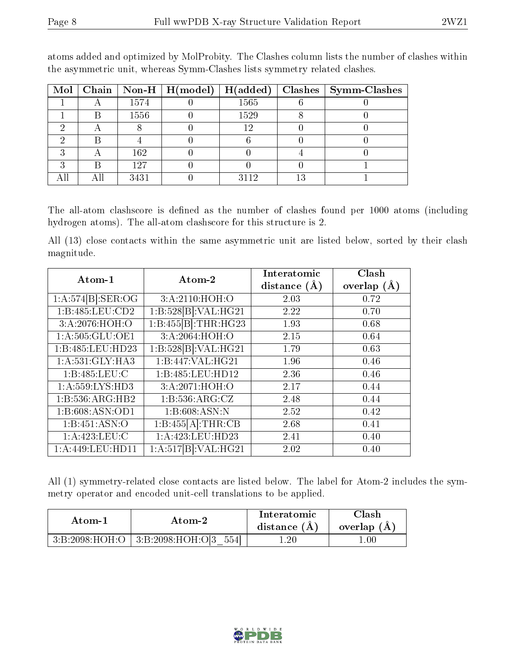|  |      | Mol   Chain   Non-H   H(model) | H(added) |    | $Clashes$   Symm-Clashes |
|--|------|--------------------------------|----------|----|--------------------------|
|  | 1574 |                                | 1565     |    |                          |
|  | 1556 |                                | 1529     |    |                          |
|  |      |                                | 12       |    |                          |
|  |      |                                |          |    |                          |
|  | 162  |                                |          |    |                          |
|  | 127  |                                |          |    |                          |
|  | 3431 |                                | 2119     | 13 |                          |

atoms added and optimized by MolProbity. The Clashes column lists the number of clashes within the asymmetric unit, whereas Symm-Clashes lists symmetry related clashes.

The all-atom clashscore is defined as the number of clashes found per 1000 atoms (including hydrogen atoms). The all-atom clashscore for this structure is 2.

All (13) close contacts within the same asymmetric unit are listed below, sorted by their clash magnitude.

| Atom-1              | Atom-2               | Interatomic      | Clash           |
|---------------------|----------------------|------------------|-----------------|
|                     |                      | distance $(\AA)$ | overlap $(\AA)$ |
| 1:A:574[B]:SER:OG   | 3:A:2110:HOH:O       | 2.03             | 0.72            |
| 1:B:485:LEU:CD2     | 1:B:528[B]:VAL:HG21  | 2.22             | 0.70            |
| 3:A:2076:HOH:O      | 1:B:455[B]:THR:HG23  | 1.93             | 0.68            |
| 1: A: 505: GLU: OE1 | 3:A:2064:HOH:O       | 2.15             | 0.64            |
| 1:B:485:LEU:HD23    | 1:B:528[B]:VAL:HG21  | 1.79             | 0.63            |
| 1: A:531: GLY:HA3   | 1:B:447:VAL:HG21     | 1.96             | 0.46            |
| 1:B:485:LEU:C       | 1:B:485:LEU:HD12     | 2.36             | 0.46            |
| 1: A: 559: LYS: HD3 | 3:A:2071:HOH:O       | 2.17             | 0.44            |
| 1:B:536:ARG:HB2     | 1: B: 536: ARG: CZ   | 2.48             | 0.44            |
| 1:B:608:ASN:OD1     | 1: B:608: ASN: N     | 2.52             | 0.42            |
| 1: B: 451: ASN: O   | 1:B:455[A]:THR:CB    | 2.68             | 0.41            |
| 1: A:423: LEU: C    | 1:A:423:LEU:HD23     | 2.41             | 0.40            |
| 1:A:449:LEU:HD11    | 1:A:517[B]:VAL:H G21 | 2.02             | 0.40            |

All (1) symmetry-related close contacts are listed below. The label for Atom-2 includes the symmetry operator and encoded unit-cell translations to be applied.

| Atom-1         |                                  | Interatomic | Clash      |
|----------------|----------------------------------|-------------|------------|
| Atom-2         |                                  | distance (A | overlap (A |
| 3:B:2098:HOH:O | 554<br>$\perp$ 3:B:2098:HOH:O[3] | .20         | .00        |

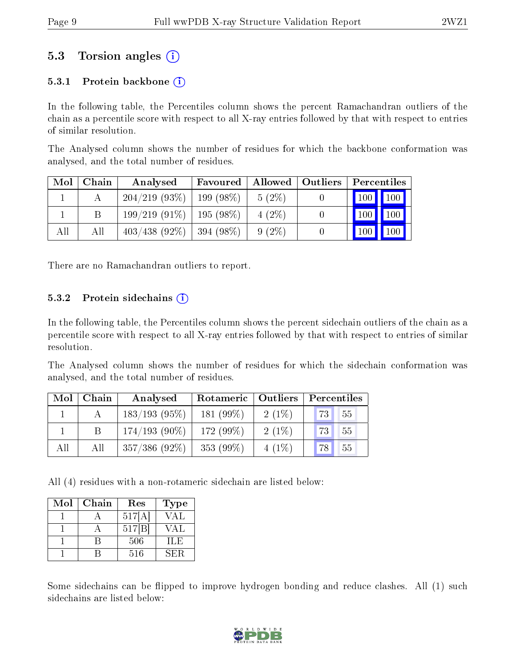### 5.3 Torsion angles (i)

#### 5.3.1 Protein backbone  $(i)$

In the following table, the Percentiles column shows the percent Ramachandran outliers of the chain as a percentile score with respect to all X-ray entries followed by that with respect to entries of similar resolution.

The Analysed column shows the number of residues for which the backbone conformation was analysed, and the total number of residues.

| Mol | Chain | Analysed        | Favoured              | Allowed  | Outliers | Percentiles         |                    |
|-----|-------|-----------------|-----------------------|----------|----------|---------------------|--------------------|
|     |       | 204/219(93%)    | $199(98\%)$           | $5(2\%)$ |          | $\vert$ 100 $\vert$ | $\blacksquare$ 100 |
|     |       | $199/219(91\%)$ | $195(98\%)$           | $4(2\%)$ |          | 100                 | 100                |
| All | Аll   | $403/438(92\%)$ | $\frac{1}{394}$ (98%) | $9(2\%)$ |          | 100                 | 100                |

There are no Ramachandran outliers to report.

#### 5.3.2 Protein sidechains  $(i)$

In the following table, the Percentiles column shows the percent sidechain outliers of the chain as a percentile score with respect to all X-ray entries followed by that with respect to entries of similar resolution.

The Analysed column shows the number of residues for which the sidechain conformation was analysed, and the total number of residues.

| Mol | Chain | Analysed        | Rotameric    | Outliers | Percentiles     |  |
|-----|-------|-----------------|--------------|----------|-----------------|--|
|     |       | $183/193(95\%)$ | 181 $(99\%)$ | $2(1\%)$ | 55<br><b>73</b> |  |
|     |       | $174/193(90\%)$ | 172 (99%)    | $2(1\%)$ | 55<br>73        |  |
| All | All   | $357/386(92\%)$ | 353 (99%)    | $4(1\%)$ | 55<br>78        |  |

All (4) residues with a non-rotameric sidechain are listed below:

| $\operatorname{Mol}$ | Chain | Res    | <b>Type</b> |
|----------------------|-------|--------|-------------|
|                      |       | 517[A] | /AL         |
|                      |       | 517 B  | /AL         |
|                      |       | 506    | 11.E        |
|                      |       | 516    | 5EB         |

Some sidechains can be flipped to improve hydrogen bonding and reduce clashes. All (1) such sidechains are listed below:

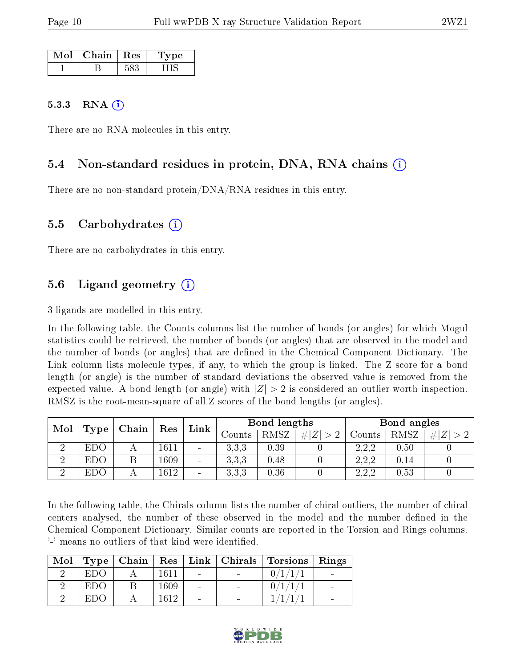| Mol | Chain. | Res | ne. |
|-----|--------|-----|-----|
|     |        |     |     |

#### 5.3.3 RNA  $(i)$

There are no RNA molecules in this entry.

### 5.4 Non-standard residues in protein, DNA, RNA chains (i)

There are no non-standard protein/DNA/RNA residues in this entry.

#### 5.5 Carbohydrates (i)

There are no carbohydrates in this entry.

### 5.6 Ligand geometry (i)

3 ligands are modelled in this entry.

In the following table, the Counts columns list the number of bonds (or angles) for which Mogul statistics could be retrieved, the number of bonds (or angles) that are observed in the model and the number of bonds (or angles) that are dened in the Chemical Component Dictionary. The Link column lists molecule types, if any, to which the group is linked. The Z score for a bond length (or angle) is the number of standard deviations the observed value is removed from the expected value. A bond length (or angle) with  $|Z| > 2$  is considered an outlier worth inspection. RMSZ is the root-mean-square of all Z scores of the bond lengths (or angles).

| Mol | . Chain<br>Type |  | Link<br>Res |                              | Bond lengths |      |        | Bond angles |         |        |      |         |
|-----|-----------------|--|-------------|------------------------------|--------------|------|--------|-------------|---------|--------|------|---------|
|     |                 |  |             |                              |              |      | Counts | <b>RMSZ</b> | $\# Z $ | Counts | RMSZ | Z <br># |
|     | <b>EDO</b>      |  | 1611        | $\qquad \qquad \blacksquare$ | 3,3,3        | 0.39 |        | 2,2,2       | 0.50    |        |      |         |
|     | EDO             |  | 1609        | $\sim$                       | 3,3,3        | 0.48 |        | 2,2,2       | 0.14    |        |      |         |
| ച   | <b>EDO</b>      |  | 1612        | $\qquad \qquad$              | 3,3,3        | 0.36 |        | 2,2,2       | 0.53    |        |      |         |

In the following table, the Chirals column lists the number of chiral outliers, the number of chiral centers analysed, the number of these observed in the model and the number defined in the Chemical Component Dictionary. Similar counts are reported in the Torsion and Rings columns. '-' means no outliers of that kind were identified.

| Mol |      |      |                | Type   Chain   Res   Link   Chirals   Torsions   Rings |  |
|-----|------|------|----------------|--------------------------------------------------------|--|
|     | EDO  | 1611 | $\blacksquare$ |                                                        |  |
|     | EDO  | 1609 | $\equiv$       |                                                        |  |
|     | E DO | 1612 | $\equiv$       |                                                        |  |

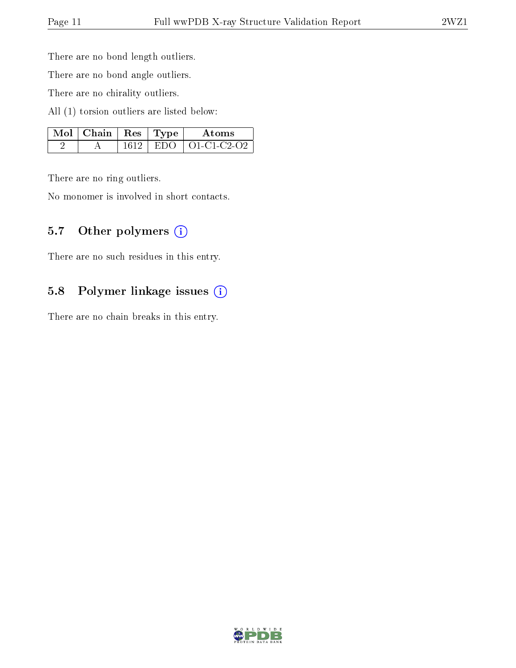There are no bond length outliers.

There are no bond angle outliers.

There are no chirality outliers.

All (1) torsion outliers are listed below:

| $\mid$ Mol $\mid$ Chain $\mid$ Res $\mid$ Type |  | Atoms                      |
|------------------------------------------------|--|----------------------------|
|                                                |  | $1612$   EDO   O1-C1-C2-O2 |

There are no ring outliers.

No monomer is involved in short contacts.

#### 5.7 [O](https://www.wwpdb.org/validation/2017/XrayValidationReportHelp#nonstandard_residues_and_ligands)ther polymers (i)

There are no such residues in this entry.

### 5.8 Polymer linkage issues (i)

There are no chain breaks in this entry.

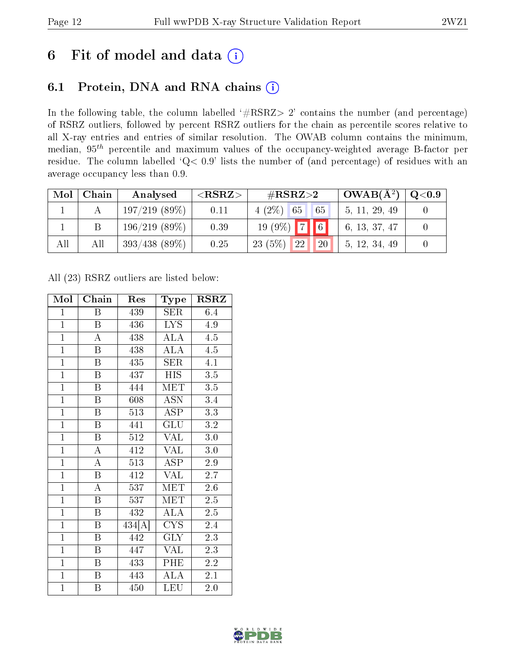## 6 Fit of model and data  $(i)$

### 6.1 Protein, DNA and RNA chains  $(i)$

In the following table, the column labelled  $#RSRZ> 2'$  contains the number (and percentage) of RSRZ outliers, followed by percent RSRZ outliers for the chain as percentile scores relative to all X-ray entries and entries of similar resolution. The OWAB column contains the minimum, median,  $95<sup>th</sup>$  percentile and maximum values of the occupancy-weighted average B-factor per residue. The column labelled ' $Q< 0.9$ ' lists the number of (and percentage) of residues with an average occupancy less than 0.9.

| Mol | Chain | Analysed        | ${ <\hspace{-1.5pt}{\mathrm{RSRZ}} \hspace{-1.5pt}>}$ | $\#\text{RSRZ}\text{>2}$               | $\sim$ OWAB( $\rm A^2)$ ) | $\mathrm{Q} {<} 0.9$ |
|-----|-------|-----------------|-------------------------------------------------------|----------------------------------------|---------------------------|----------------------|
|     |       | 197/219(89%)    | 0.11                                                  | $4(2\%)$ 65<br>65                      | 5, 11, 29, 49             |                      |
|     |       | $196/219(89\%)$ | 0.39                                                  | $19(9\%)$ 7 6                          | 6, 13, 37, 47             |                      |
| All | All   | $393/438(89\%)$ | 0.25                                                  | 23(5%)<br>22 <sup>1</sup><br><b>20</b> | 5, 12, 34, 49             |                      |

All (23) RSRZ outliers are listed below:

| Mol            | Chain                   | Res                 | Type                    | <b>RSRZ</b>      |
|----------------|-------------------------|---------------------|-------------------------|------------------|
| $\mathbf{1}$   | Β                       | 439                 | SER                     | 6.4              |
| $\overline{1}$ | $\boldsymbol{B}$        | 436                 | <b>LYS</b>              | 4.9              |
| $\overline{1}$ | $\overline{\rm A}$      | 438                 | $\widehat{\text{ALA}}$  | 4.5              |
| $\overline{1}$ | $\overline{\mathrm{B}}$ | 438                 | <b>ALA</b>              | 4.5              |
| $\overline{1}$ | $\overline{\mathrm{B}}$ | 435                 | $\overline{\text{SER}}$ | $\overline{4.1}$ |
| $\overline{1}$ | $\overline{\mathrm{B}}$ | 437                 | <b>HIS</b>              | 3.5              |
| $\overline{1}$ | $\overline{\mathrm{B}}$ | 444                 | MET                     | 3.5              |
| $\overline{1}$ | $\overline{\mathbf{B}}$ | 608                 | <b>ASN</b>              | 3.4              |
| $\overline{1}$ | B                       | 513                 | <b>ASP</b>              | 3.3              |
| $\overline{1}$ | $\overline{\mathrm{B}}$ | 441                 | GLU                     | 3.2              |
| $\overline{1}$ | $\boldsymbol{B}$        | 512                 | <b>VAL</b>              | 3.0              |
| $\overline{1}$ | A                       | 412                 | VAL                     | 3.0              |
| $\overline{1}$ | $\overline{\rm A}$      | 513                 | <b>ASP</b>              | $2.9\,$          |
| $\overline{1}$ | $\mathbf B$             | 412                 | <b>VAL</b>              | 2.7              |
| $\overline{1}$ | $\overline{\rm A}$      | 537                 | $\overline{\text{MET}}$ | 2.6              |
| $\overline{1}$ | $\boldsymbol{B}$        | 537                 | <b>MET</b>              | $2.\overline{5}$ |
| $\overline{1}$ | $\overline{\mathrm{B}}$ | 432                 | $\overline{\rm ALA}$    | $\overline{2.5}$ |
| $\overline{1}$ | B                       | $\overline{434[A]}$ | CYS                     | 2.4              |
| $\overline{1}$ | $\overline{\mathrm{B}}$ | 442                 | <b>GLY</b>              | $2.\overline{3}$ |
| $\overline{1}$ | $\overline{\mathrm{B}}$ | 447                 | <b>VAL</b>              | $2.\overline{3}$ |
| $\overline{1}$ | $\overline{\mathrm{B}}$ | 433                 | PHE                     | 2.2              |
| $\overline{1}$ | $\overline{\mathrm{B}}$ | 443                 | $\overline{\rm ALA}$    | 2.1              |
| $\overline{1}$ | Β                       | 450                 | LEU                     | 2.0              |